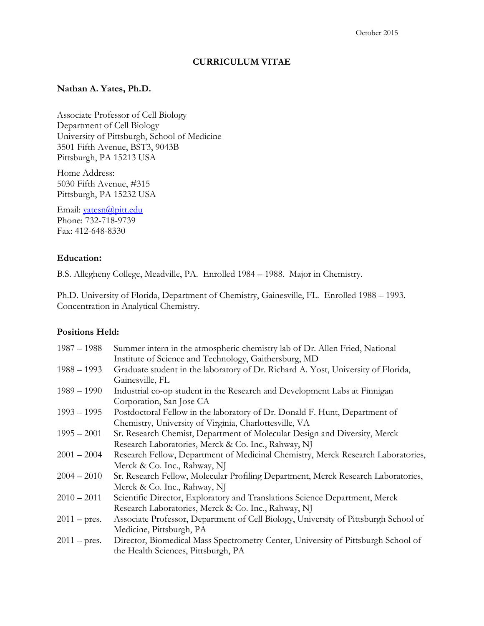#### **CURRICULUM VITAE**

#### **Nathan A. Yates, Ph.D.**

Associate Professor of Cell Biology Department of Cell Biology University of Pittsburgh, School of Medicine 3501 Fifth Avenue, BST3, 9043B Pittsburgh, PA 15213 USA

Home Address: 5030 Fifth Avenue, #315 Pittsburgh, PA 15232 USA

Email: [yatesn@pitt.edu](mailto:yatesn@pitt.edu) Phone: 732-718-9739 Fax: 412-648-8330

#### **Education:**

B.S. Allegheny College, Meadville, PA. Enrolled 1984 – 1988. Major in Chemistry.

Ph.D. University of Florida, Department of Chemistry, Gainesville, FL. Enrolled 1988 – 1993. Concentration in Analytical Chemistry.

#### **Positions Held:**

| $1987 - 1988$         | Summer intern in the atmospheric chemistry lab of Dr. Allen Fried, National         |
|-----------------------|-------------------------------------------------------------------------------------|
|                       | Institute of Science and Technology, Gaithersburg, MD                               |
| $1988 - 1993$         | Graduate student in the laboratory of Dr. Richard A. Yost, University of Florida,   |
|                       | Gainesville, FL                                                                     |
| $1989 - 1990$         | Industrial co-op student in the Research and Development Labs at Finnigan           |
|                       | Corporation, San Jose CA                                                            |
| $1993 - 1995$         | Postdoctoral Fellow in the laboratory of Dr. Donald F. Hunt, Department of          |
|                       | Chemistry, University of Virginia, Charlottesville, VA                              |
| $1995 - 2001$         | Sr. Research Chemist, Department of Molecular Design and Diversity, Merck           |
|                       | Research Laboratories, Merck & Co. Inc., Rahway, NJ                                 |
| $2001 - 2004$         | Research Fellow, Department of Medicinal Chemistry, Merck Research Laboratories,    |
|                       | Merck & Co. Inc., Rahway, NJ                                                        |
| $2004 - 2010$         | Sr. Research Fellow, Molecular Profiling Department, Merck Research Laboratories,   |
|                       | Merck & Co. Inc., Rahway, NJ                                                        |
| $2010 - 2011$         | Scientific Director, Exploratory and Translations Science Department, Merck         |
|                       | Research Laboratories, Merck & Co. Inc., Rahway, NJ                                 |
| $2011 - \text{pres.}$ | Associate Professor, Department of Cell Biology, University of Pittsburgh School of |
|                       | Medicine, Pittsburgh, PA                                                            |
| $2011 - \text{pres.}$ | Director, Biomedical Mass Spectrometry Center, University of Pittsburgh School of   |
|                       | the Health Sciences, Pittsburgh, PA                                                 |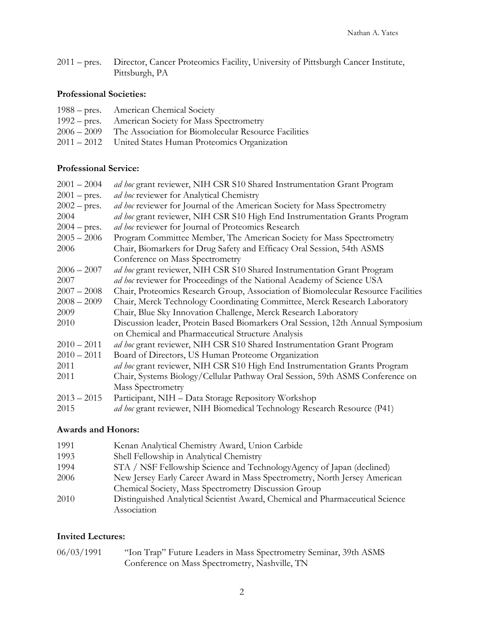2011 – pres. Director, Cancer Proteomics Facility, University of Pittsburgh Cancer Institute, Pittsburgh, PA

# **Professional Societies:**

| 1988 – pres. American Chemical Society                           |
|------------------------------------------------------------------|
| 1992 – pres. American Society for Mass Spectrometry              |
| 2006 – 2009 The Association for Biomolecular Resource Facilities |
| 2011 – 2012 United States Human Proteomics Organization          |

#### **Professional Service:**

| $2001 - 2004$         | ad hoc grant reviewer, NIH CSR S10 Shared Instrumentation Grant Program           |  |  |
|-----------------------|-----------------------------------------------------------------------------------|--|--|
| $2001 - \text{pres.}$ | ad hoc reviewer for Analytical Chemistry                                          |  |  |
| $2002 - \text{pres.}$ | ad hoc reviewer for Journal of the American Society for Mass Spectrometry         |  |  |
| 2004                  | ad hoc grant reviewer, NIH CSR S10 High End Instrumentation Grants Program        |  |  |
| $2004 - \text{pres.}$ | ad hoc reviewer for Journal of Proteomics Research                                |  |  |
| $2005 - 2006$         | Program Committee Member, The American Society for Mass Spectrometry              |  |  |
| 2006                  | Chair, Biomarkers for Drug Safety and Efficacy Oral Session, 54th ASMS            |  |  |
|                       | Conference on Mass Spectrometry                                                   |  |  |
| $2006 - 2007$         | ad hoc grant reviewer, NIH CSR S10 Shared Instrumentation Grant Program           |  |  |
| 2007                  | ad hoc reviewer for Proceedings of the National Academy of Science USA            |  |  |
| $2007 - 2008$         | Chair, Proteomics Research Group, Association of Biomolecular Resource Facilities |  |  |
| $2008 - 2009$         | Chair, Merck Technology Coordinating Committee, Merck Research Laboratory         |  |  |
| 2009                  | Chair, Blue Sky Innovation Challenge, Merck Research Laboratory                   |  |  |
| 2010                  | Discussion leader, Protein Based Biomarkers Oral Session, 12th Annual Symposium   |  |  |
|                       | on Chemical and Pharmaceutical Structure Analysis                                 |  |  |
| $2010 - 2011$         | ad hoc grant reviewer, NIH CSR S10 Shared Instrumentation Grant Program           |  |  |
| $2010 - 2011$         | Board of Directors, US Human Proteome Organization                                |  |  |
| 2011                  | ad hoc grant reviewer, NIH CSR S10 High End Instrumentation Grants Program        |  |  |
| 2011                  | Chair, Systems Biology/Cellular Pathway Oral Session, 59th ASMS Conference on     |  |  |
|                       | <b>Mass Spectrometry</b>                                                          |  |  |
| $2013 - 2015$         | Participant, NIH - Data Storage Repository Workshop                               |  |  |
| 2015                  | ad hoc grant reviewer, NIH Biomedical Technology Research Resource (P41)          |  |  |
|                       |                                                                                   |  |  |

# **Awards and Honors:**

| 1991 | Kenan Analytical Chemistry Award, Union Carbide                               |
|------|-------------------------------------------------------------------------------|
| 1993 | Shell Fellowship in Analytical Chemistry                                      |
| 1994 | STA / NSF Fellowship Science and TechnologyAgency of Japan (declined)         |
| 2006 | New Jersey Early Career Award in Mass Spectrometry, North Jersey American     |
|      | Chemical Society, Mass Spectrometry Discussion Group                          |
| 2010 | Distinguished Analytical Scientist Award, Chemical and Pharmaceutical Science |
|      | Association                                                                   |

# **Invited Lectures:**

| 06/03/1991 | "Ion Trap" Future Leaders in Mass Spectrometry Seminar, 39th ASMS |
|------------|-------------------------------------------------------------------|
|            | Conference on Mass Spectrometry, Nashville, TN                    |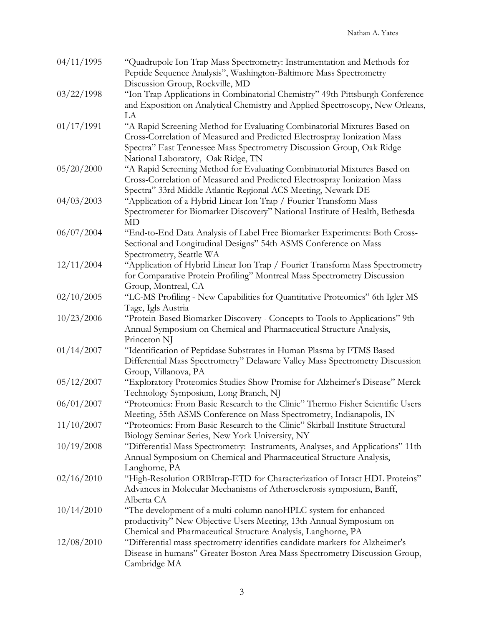| 04/11/1995 | "Quadrupole Ion Trap Mass Spectrometry: Instrumentation and Methods for<br>Peptide Sequence Analysis", Washington-Baltimore Mass Spectrometry |
|------------|-----------------------------------------------------------------------------------------------------------------------------------------------|
|            | Discussion Group, Rockville, MD                                                                                                               |
| 03/22/1998 | "Ion Trap Applications in Combinatorial Chemistry" 49th Pittsburgh Conference                                                                 |
|            | and Exposition on Analytical Chemistry and Applied Spectroscopy, New Orleans,                                                                 |
|            | LA                                                                                                                                            |
| 01/17/1991 | "A Rapid Screening Method for Evaluating Combinatorial Mixtures Based on                                                                      |
|            | Cross-Correlation of Measured and Predicted Electrospray Ionization Mass                                                                      |
|            | Spectra" East Tennessee Mass Spectrometry Discussion Group, Oak Ridge                                                                         |
|            | National Laboratory, Oak Ridge, TN                                                                                                            |
| 05/20/2000 | "A Rapid Screening Method for Evaluating Combinatorial Mixtures Based on                                                                      |
|            | Cross-Correlation of Measured and Predicted Electrospray Ionization Mass                                                                      |
|            | Spectra" 33rd Middle Atlantic Regional ACS Meeting, Newark DE                                                                                 |
| 04/03/2003 | "Application of a Hybrid Linear Ion Trap / Fourier Transform Mass                                                                             |
|            | Spectrometer for Biomarker Discovery" National Institute of Health, Bethesda                                                                  |
|            | <b>MD</b>                                                                                                                                     |
| 06/07/2004 | "End-to-End Data Analysis of Label Free Biomarker Experiments: Both Cross-                                                                    |
|            | Sectional and Longitudinal Designs" 54th ASMS Conference on Mass                                                                              |
|            | Spectrometry, Seattle WA                                                                                                                      |
| 12/11/2004 | "Application of Hybrid Linear Ion Trap / Fourier Transform Mass Spectrometry                                                                  |
|            | for Comparative Protein Profiling" Montreal Mass Spectrometry Discussion                                                                      |
|            | Group, Montreal, CA                                                                                                                           |
| 02/10/2005 | "LC-MS Profiling - New Capabilities for Quantitative Proteomics" 6th Igler MS                                                                 |
|            | Tage, Igls Austria                                                                                                                            |
| 10/23/2006 | "Protein-Based Biomarker Discovery - Concepts to Tools to Applications" 9th                                                                   |
|            | Annual Symposium on Chemical and Pharmaceutical Structure Analysis,                                                                           |
|            | Princeton NJ                                                                                                                                  |
| 01/14/2007 | "Identification of Peptidase Substrates in Human Plasma by FTMS Based                                                                         |
|            | Differential Mass Spectrometry" Delaware Valley Mass Spectrometry Discussion                                                                  |
|            | Group, Villanova, PA                                                                                                                          |
| 05/12/2007 | "Exploratory Proteomics Studies Show Promise for Alzheimer's Disease" Merck                                                                   |
|            | Technology Symposium, Long Branch, NJ                                                                                                         |
| 06/01/2007 | "Proteomics: From Basic Research to the Clinic" Thermo Fisher Scientific Users                                                                |
|            | Meeting, 55th ASMS Conference on Mass Spectrometry, Indianapolis, IN                                                                          |
| 11/10/2007 | "Proteomics: From Basic Research to the Clinic" Skirball Institute Structural                                                                 |
|            | Biology Seminar Series, New York University, NY                                                                                               |
| 10/19/2008 | "Differential Mass Spectrometry: Instruments, Analyses, and Applications" 11th                                                                |
|            | Annual Symposium on Chemical and Pharmaceutical Structure Analysis,                                                                           |
|            | Langhorne, PA                                                                                                                                 |
| 02/16/2010 | "High-Resolution ORBItrap-ETD for Characterization of Intact HDL Proteins"                                                                    |
|            | Advances in Molecular Mechanisms of Atherosclerosis symposium, Banff,                                                                         |
|            | Alberta CA                                                                                                                                    |
| 10/14/2010 | "The development of a multi-column nanoHPLC system for enhanced                                                                               |
|            | productivity" New Objective Users Meeting, 13th Annual Symposium on                                                                           |
|            | Chemical and Pharmaceutical Structure Analysis, Langhorne, PA                                                                                 |
| 12/08/2010 | "Differential mass spectrometry identifies candidate markers for Alzheimer's                                                                  |
|            | Disease in humans" Greater Boston Area Mass Spectrometry Discussion Group,                                                                    |
|            | Cambridge MA                                                                                                                                  |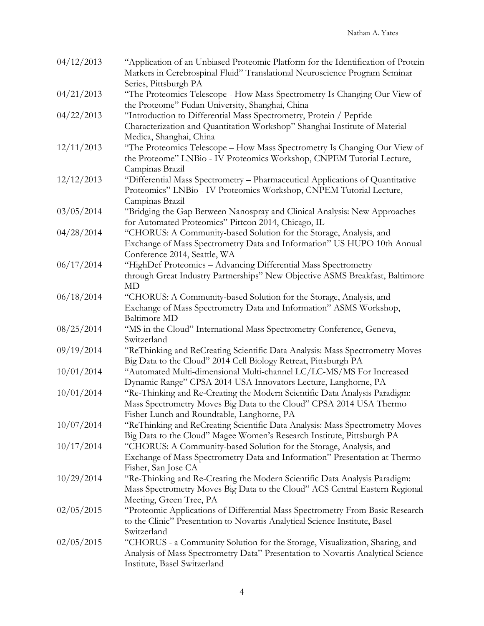| 04/12/2013 | "Application of an Unbiased Proteomic Platform for the Identification of Protein<br>Markers in Cerebrospinal Fluid" Translational Neuroscience Program Seminar |
|------------|----------------------------------------------------------------------------------------------------------------------------------------------------------------|
|            | Series, Pittsburgh PA                                                                                                                                          |
| 04/21/2013 | "The Proteomics Telescope - How Mass Spectrometry Is Changing Our View of<br>the Proteome" Fudan University, Shanghai, China                                   |
| 04/22/2013 | "Introduction to Differential Mass Spectrometry, Protein / Peptide                                                                                             |
|            | Characterization and Quantitation Workshop" Shanghai Institute of Material                                                                                     |
|            | Medica, Shanghai, China                                                                                                                                        |
| 12/11/2013 | "The Proteomics Telescope - How Mass Spectrometry Is Changing Our View of                                                                                      |
|            | the Proteome" LNBio - IV Proteomics Workshop, CNPEM Tutorial Lecture,                                                                                          |
|            | Campinas Brazil                                                                                                                                                |
| 12/12/2013 | "Differential Mass Spectrometry - Pharmaceutical Applications of Quantitative                                                                                  |
|            | Proteomics" LNBio - IV Proteomics Workshop, CNPEM Tutorial Lecture,                                                                                            |
|            | Campinas Brazil                                                                                                                                                |
| 03/05/2014 | "Bridging the Gap Between Nanospray and Clinical Analysis: New Approaches                                                                                      |
|            | for Automated Proteomics" Pittcon 2014, Chicago, IL                                                                                                            |
| 04/28/2014 | "CHORUS: A Community-based Solution for the Storage, Analysis, and                                                                                             |
|            | Exchange of Mass Spectrometry Data and Information" US HUPO 10th Annual                                                                                        |
|            | Conference 2014, Seattle, WA                                                                                                                                   |
| 06/17/2014 | "HighDef Proteomics - Advancing Differential Mass Spectrometry                                                                                                 |
|            | through Great Industry Partnerships" New Objective ASMS Breakfast, Baltimore                                                                                   |
|            | MD                                                                                                                                                             |
| 06/18/2014 | "CHORUS: A Community-based Solution for the Storage, Analysis, and                                                                                             |
|            | Exchange of Mass Spectrometry Data and Information" ASMS Workshop,                                                                                             |
|            | <b>Baltimore MD</b>                                                                                                                                            |
| 08/25/2014 | "MS in the Cloud" International Mass Spectrometry Conference, Geneva,                                                                                          |
|            | Switzerland                                                                                                                                                    |
| 09/19/2014 | "ReThinking and ReCreating Scientific Data Analysis: Mass Spectrometry Moves                                                                                   |
|            | Big Data to the Cloud" 2014 Cell Biology Retreat, Pittsburgh PA                                                                                                |
| 10/01/2014 | "Automated Multi-dimensional Multi-channel LC/LC-MS/MS For Increased                                                                                           |
|            | Dynamic Range" CPSA 2014 USA Innovators Lecture, Langhorne, PA                                                                                                 |
| 10/01/2014 | "Re-Thinking and Re-Creating the Modern Scientific Data Analysis Paradigm:                                                                                     |
|            | Mass Spectrometry Moves Big Data to the Cloud" CPSA 2014 USA Thermo                                                                                            |
|            | Fisher Lunch and Roundtable, Langhorne, PA                                                                                                                     |
| 10/07/2014 | "ReThinking and ReCreating Scientific Data Analysis: Mass Spectrometry Moves                                                                                   |
|            | Big Data to the Cloud" Magee Women's Research Institute, Pittsburgh PA                                                                                         |
| 10/17/2014 |                                                                                                                                                                |
|            | "CHORUS: A Community-based Solution for the Storage, Analysis, and                                                                                             |
|            | Exchange of Mass Spectrometry Data and Information" Presentation at Thermo                                                                                     |
|            | Fisher, San Jose CA                                                                                                                                            |
| 10/29/2014 | "Re-Thinking and Re-Creating the Modern Scientific Data Analysis Paradigm:                                                                                     |
|            | Mass Spectrometry Moves Big Data to the Cloud" ACS Central Eastern Regional                                                                                    |
|            | Meeting, Green Tree, PA                                                                                                                                        |
| 02/05/2015 | "Proteomic Applications of Differential Mass Spectrometry From Basic Research                                                                                  |
|            | to the Clinic" Presentation to Novartis Analytical Science Institute, Basel                                                                                    |
|            | Switzerland                                                                                                                                                    |
| 02/05/2015 | "CHORUS - a Community Solution for the Storage, Visualization, Sharing, and                                                                                    |
|            | Analysis of Mass Spectrometry Data" Presentation to Novartis Analytical Science                                                                                |
|            | Institute, Basel Switzerland                                                                                                                                   |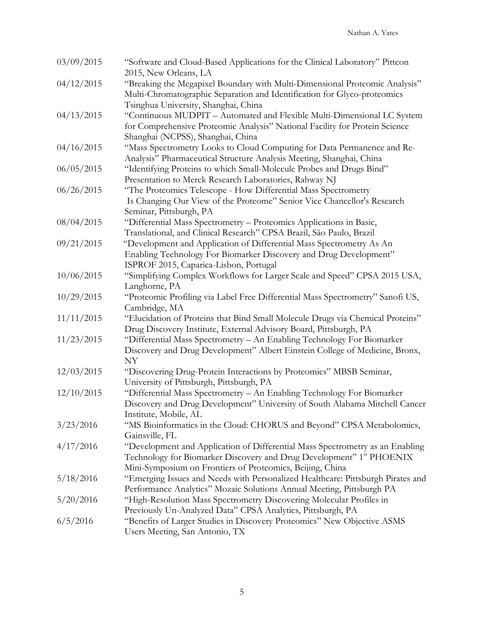| 03/09/2015 | "Software and Cloud-Based Applications for the Clinical Laboratory" Pittcon<br>2015, New Orleans, LA |
|------------|------------------------------------------------------------------------------------------------------|
| 04/12/2015 | "Breaking the Megapixel Boundary with Multi-Dimensional Proteomic Analysis"                          |
|            | Multi-Chromatographic Separation and Identification for Glyco-proteomics                             |
|            | Tsinghua University, Shanghai, China                                                                 |
| 04/13/2015 | "Continuous MUDPIT - Automated and Flexible Multi-Dimensional LC System                              |
|            | for Comprehensive Proteomic Analysis" National Facility for Protein Science                          |
|            | Shanghai (NCPSS), Shanghai, China                                                                    |
| 04/16/2015 | "Mass Spectrometry Looks to Cloud Computing for Data Permanence and Re-                              |
|            | Analysis" Pharmaceutical Structure Analysis Meeting, Shanghai, China                                 |
| 06/05/2015 | "Identifying Proteins to which Small-Molecule Probes and Drugs Bind"                                 |
|            | Presentation to Merck Research Laboratories, Rahway NJ                                               |
| 06/26/2015 | "The Proteomics Telescope - How Differential Mass Spectrometry                                       |
|            | Is Changing Our View of the Proteome" Senior Vice Chancellor's Research                              |
|            | Seminar, Pittsburgh, PA                                                                              |
| 08/04/2015 | "Differential Mass Spectrometry - Proteomics Applications in Basic,                                  |
|            | Translational, and Clinical Research" CPSA Brazil, São Paulo, Brazil                                 |
| 09/21/2015 | "Development and Application of Differential Mass Spectrometry As An                                 |
|            | Enabling Technology For Biomarker Discovery and Drug Development"                                    |
|            | ISPROF 2015, Caparica-Lisbon, Portugal                                                               |
| 10/06/2015 | "Simplifying Complex Workflows for Larger Scale and Speed" CPSA 2015 USA,                            |
|            | Langhorne, PA                                                                                        |
| 10/29/2015 | "Proteomic Profiling via Label Free Differential Mass Spectrometry" Sanofi US,                       |
|            | Cambridge, MA                                                                                        |
| 11/11/2015 | "Elucidation of Proteins that Bind Small Molecule Drugs via Chemical Proteins"                       |
|            | Drug Discovery Institute, External Advisory Board, Pittsburgh, PA                                    |
| 11/23/2015 | "Differential Mass Spectrometry - An Enabling Technology For Biomarker                               |
|            | Discovery and Drug Development" Albert Einstein College of Medicine, Bronx,                          |
|            | NY                                                                                                   |
| 12/03/2015 | "Discovering Drug-Protein Interactions by Proteomics" MBSB Seminar,                                  |
|            | University of Pittsburgh, Pittsburgh, PA                                                             |
| 12/10/2015 | "Differential Mass Spectrometry - An Enabling Technology For Biomarker                               |
|            | Discovery and Drug Development" University of South Alabama Mitchell Cancer                          |
| 3/23/2016  | Institute, Mobile, AL                                                                                |
|            | "MS Bioinformatics in the Cloud: CHORUS and Beyond" CPSA Metabolomics,                               |
| 4/17/2016  | Gainsville, FL<br>"Development and Application of Differential Mass Spectrometry as an Enabling      |
|            | Technology for Biomarker Discovery and Drug Development" 1 <sup>st</sup> PHOENIX                     |
|            | Mini-Symposium on Frontiers of Proteomics, Beijing, China                                            |
| 5/18/2016  | "Emerging Issues and Needs with Personalized Healthcare: Pittsburgh Pirates and                      |
|            | Performance Analytics" Mozaic Solutions Annual Meeting, Pittsburgh PA                                |
| 5/20/2016  | "High-Resolution Mass Spectrometry Discovering Molecular Profiles in                                 |
|            | Previously Un-Analyzed Data" CPSA Analytics, Pittsburgh, PA                                          |
| 6/5/2016   | "Benefits of Larger Studies in Discovery Proteomics" New Objective ASMS                              |
|            | Users Meeting, San Antonio, TX                                                                       |
|            |                                                                                                      |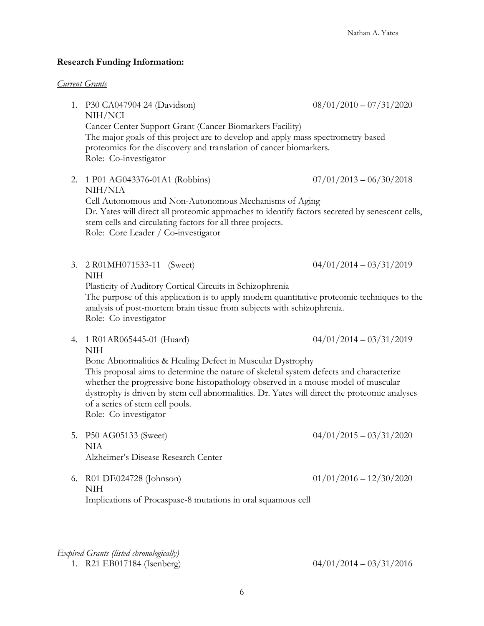#### **Research Funding Information:**

#### *Current Grants*

1. P30 CA047904 24 (Davidson) 08/01/2010 – 07/31/2020 NIH/NCI Cancer Center Support Grant (Cancer Biomarkers Facility) The major goals of this project are to develop and apply mass spectrometry based proteomics for the discovery and translation of cancer biomarkers. Role: Co-investigator 2. 1 P01 AG043376-01A1 (Robbins) 07/01/2013 – 06/30/2018 NIH/NIA Cell Autonomous and Non-Autonomous Mechanisms of Aging Dr. Yates will direct all proteomic approaches to identify factors secreted by senescent cells, stem cells and circulating factors for all three projects. Role: Core Leader / Co-investigator 3. 2 R01MH071533-11 (Sweet) 04/01/2014 – 03/31/2019 NIH Plasticity of Auditory Cortical Circuits in Schizophrenia The purpose of this application is to apply modern quantitative proteomic techniques to the analysis of post-mortem brain tissue from subjects with schizophrenia. Role: Co-investigator 4. 1 R01AR065445-01 (Huard) 04/01/2014 – 03/31/2019 NIH Bone Abnormalities & Healing Defect in Muscular Dystrophy This proposal aims to determine the nature of skeletal system defects and characterize whether the progressive bone histopathology observed in a mouse model of muscular dystrophy is driven by stem cell abnormalities. Dr. Yates will direct the proteomic analyses of a series of stem cell pools. Role: Co-investigator 5. P50 AG05133 (Sweet) 04/01/2015 – 03/31/2020 NIA Alzheimer's Disease Research Center 6. R01 DE024728 (Johnson) 01/01/2016 – 12/30/2020 NIH

Implications of Procaspase-8 mutations in oral squamous cell

#### *Expired Grants (listed chronologically)*

<sup>1.</sup> R21 EB017184 (Isenberg) 04/01/2014 – 03/31/2016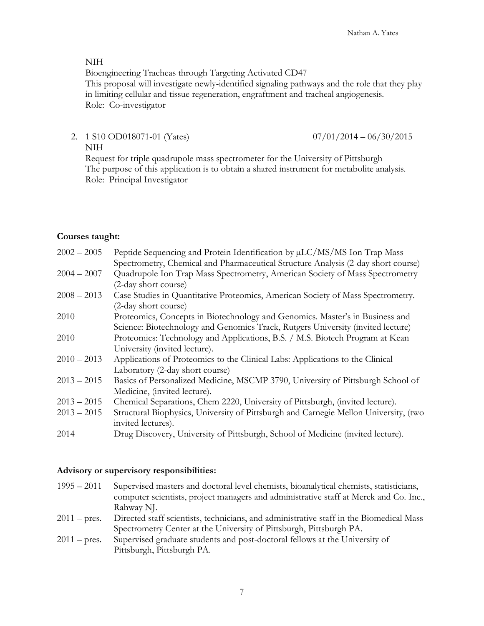#### NIH

Bioengineering Tracheas through Targeting Activated CD47

This proposal will investigate newly-identified signaling pathways and the role that they play in limiting cellular and tissue regeneration, engraftment and tracheal angiogenesis. Role: Co-investigator

2. 1 S10 OD018071-01 (Yates) 07/01/2014 – 06/30/2015 NIH

Request for triple quadrupole mass spectrometer for the University of Pittsburgh The purpose of this application is to obtain a shared instrument for metabolite analysis. Role: Principal Investigator

### **Courses taught:**

| $2002 - 2005$ | Peptide Sequencing and Protein Identification by µLC/MS/MS Ion Trap Mass                                   |  |
|---------------|------------------------------------------------------------------------------------------------------------|--|
|               | Spectrometry, Chemical and Pharmaceutical Structure Analysis (2-day short course)                          |  |
| $2004 - 2007$ | Quadrupole Ion Trap Mass Spectrometry, American Society of Mass Spectrometry                               |  |
|               | (2-day short course)                                                                                       |  |
| $2008 - 2013$ | Case Studies in Quantitative Proteomics, American Society of Mass Spectrometry.                            |  |
|               | (2-day short course)                                                                                       |  |
| 2010          | Proteomics, Concepts in Biotechnology and Genomics. Master's in Business and                               |  |
|               | Science: Biotechnology and Genomics Track, Rutgers University (invited lecture)                            |  |
| 2010          | Proteomics: Technology and Applications, B.S. / M.S. Biotech Program at Kean                               |  |
|               | University (invited lecture).                                                                              |  |
| $2010 - 2013$ | Applications of Proteomics to the Clinical Labs: Applications to the Clinical                              |  |
|               | Laboratory (2-day short course)                                                                            |  |
| $2013 - 2015$ | Basics of Personalized Medicine, MSCMP 3790, University of Pittsburgh School of                            |  |
|               | Medicine, (invited lecture).                                                                               |  |
| $2013 - 2015$ | Chemical Separations, Chem 2220, University of Pittsburgh, (invited lecture).                              |  |
| $2013 - 2015$ | Structural Biophysics, University of Pittsburgh and Carnegie Mellon University, (two<br>invited lectures). |  |
| 2014          | Drug Discovery, University of Pittsburgh, School of Medicine (invited lecture).                            |  |

#### **Advisory or supervisory responsibilities:**

1995 – 2011 Supervised masters and doctoral level chemists, bioanalytical chemists, statisticians, computer scientists, project managers and administrative staff at Merck and Co. Inc., Rahway NJ. 2011 – pres. Directed staff scientists, technicians, and administrative staff in the Biomedical Mass Spectrometry Center at the University of Pittsburgh, Pittsburgh PA.

2011 – pres. Supervised graduate students and post-doctoral fellows at the University of Pittsburgh, Pittsburgh PA.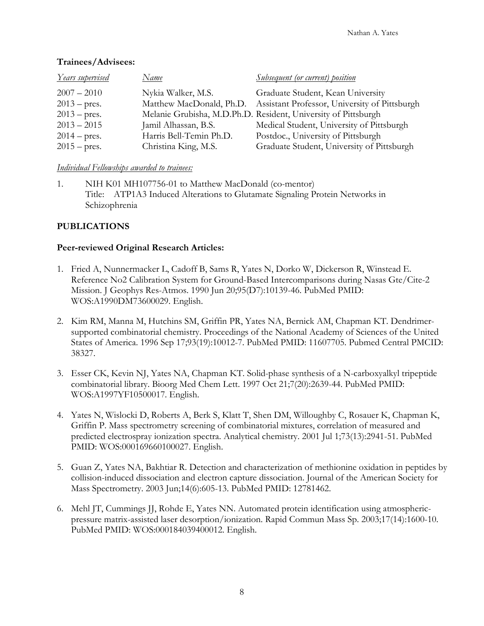| <u>Years supervised</u> | Name                     | <u>Subsequent (or current) position</u>       |  |
|-------------------------|--------------------------|-----------------------------------------------|--|
| $2007 - 2010$           | Nykia Walker, M.S.       | Graduate Student, Kean University             |  |
| $2013$ – pres.          | Matthew MacDonald, Ph.D. | Assistant Professor, University of Pittsburgh |  |

## **Trainees/Advisees:**

# *Individual Fellowships awarded to trainees:*

1. NIH K01 MH107756-01 to Matthew MacDonald (co-mentor) Title: ATP1A3 Induced Alterations to Glutamate Signaling Protein Networks in Schizophrenia

2013 – pres. Melanie Grubisha, M.D.Ph.D. Resident, University of Pittsburgh

2014 – pres. Harris Bell-Temin Ph.D. Postdoc., University of Pittsburgh

2013 – 2015 Jamil Alhassan, B.S. Medical Student, University of Pittsburgh

2015 – pres. Christina King, M.S. Graduate Student, University of Pittsburgh

# **PUBLICATIONS**

## **Peer-reviewed Original Research Articles:**

- 1. Fried A, Nunnermacker L, Cadoff B, Sams R, Yates N, Dorko W, Dickerson R, Winstead E. Reference No2 Calibration System for Ground-Based Intercomparisons during Nasas Gte/Cite-2 Mission. J Geophys Res-Atmos. 1990 Jun 20;95(D7):10139-46. PubMed PMID: WOS:A1990DM73600029. English.
- 2. Kim RM, Manna M, Hutchins SM, Griffin PR, Yates NA, Bernick AM, Chapman KT. Dendrimersupported combinatorial chemistry. Proceedings of the National Academy of Sciences of the United States of America. 1996 Sep 17;93(19):10012-7. PubMed PMID: 11607705. Pubmed Central PMCID: 38327.
- 3. Esser CK, Kevin NJ, Yates NA, Chapman KT. Solid-phase synthesis of a N-carboxyalkyl tripeptide combinatorial library. Bioorg Med Chem Lett. 1997 Oct 21;7(20):2639-44. PubMed PMID: WOS:A1997YF10500017. English.
- 4. Yates N, Wislocki D, Roberts A, Berk S, Klatt T, Shen DM, Willoughby C, Rosauer K, Chapman K, Griffin P. Mass spectrometry screening of combinatorial mixtures, correlation of measured and predicted electrospray ionization spectra. Analytical chemistry. 2001 Jul 1;73(13):2941-51. PubMed PMID: WOS:000169660100027. English.
- 5. Guan Z, Yates NA, Bakhtiar R. Detection and characterization of methionine oxidation in peptides by collision-induced dissociation and electron capture dissociation. Journal of the American Society for Mass Spectrometry. 2003 Jun;14(6):605-13. PubMed PMID: 12781462.
- 6. Mehl JT, Cummings JJ, Rohde E, Yates NN. Automated protein identification using atmosphericpressure matrix-assisted laser desorption/ionization. Rapid Commun Mass Sp. 2003;17(14):1600-10. PubMed PMID: WOS:000184039400012. English.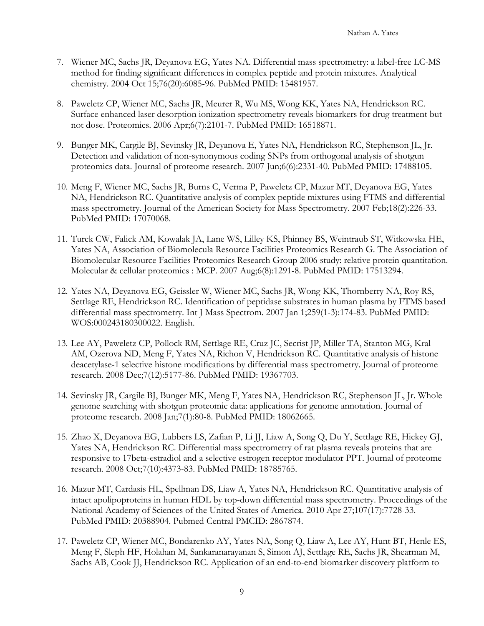- 7. Wiener MC, Sachs JR, Deyanova EG, Yates NA. Differential mass spectrometry: a label-free LC-MS method for finding significant differences in complex peptide and protein mixtures. Analytical chemistry. 2004 Oct 15;76(20):6085-96. PubMed PMID: 15481957.
- 8. Paweletz CP, Wiener MC, Sachs JR, Meurer R, Wu MS, Wong KK, Yates NA, Hendrickson RC. Surface enhanced laser desorption ionization spectrometry reveals biomarkers for drug treatment but not dose. Proteomics. 2006 Apr;6(7):2101-7. PubMed PMID: 16518871.
- 9. Bunger MK, Cargile BJ, Sevinsky JR, Deyanova E, Yates NA, Hendrickson RC, Stephenson JL, Jr. Detection and validation of non-synonymous coding SNPs from orthogonal analysis of shotgun proteomics data. Journal of proteome research. 2007 Jun;6(6):2331-40. PubMed PMID: 17488105.
- 10. Meng F, Wiener MC, Sachs JR, Burns C, Verma P, Paweletz CP, Mazur MT, Deyanova EG, Yates NA, Hendrickson RC. Quantitative analysis of complex peptide mixtures using FTMS and differential mass spectrometry. Journal of the American Society for Mass Spectrometry. 2007 Feb;18(2):226-33. PubMed PMID: 17070068.
- 11. Turck CW, Falick AM, Kowalak JA, Lane WS, Lilley KS, Phinney BS, Weintraub ST, Witkowska HE, Yates NA, Association of Biomolecula Resource Facilities Proteomics Research G. The Association of Biomolecular Resource Facilities Proteomics Research Group 2006 study: relative protein quantitation. Molecular & cellular proteomics : MCP. 2007 Aug;6(8):1291-8. PubMed PMID: 17513294.
- 12. Yates NA, Deyanova EG, Geissler W, Wiener MC, Sachs JR, Wong KK, Thornberry NA, Roy RS, Settlage RE, Hendrickson RC. Identification of peptidase substrates in human plasma by FTMS based differential mass spectrometry. Int J Mass Spectrom. 2007 Jan 1;259(1-3):174-83. PubMed PMID: WOS:000243180300022. English.
- 13. Lee AY, Paweletz CP, Pollock RM, Settlage RE, Cruz JC, Secrist JP, Miller TA, Stanton MG, Kral AM, Ozerova ND, Meng F, Yates NA, Richon V, Hendrickson RC. Quantitative analysis of histone deacetylase-1 selective histone modifications by differential mass spectrometry. Journal of proteome research. 2008 Dec;7(12):5177-86. PubMed PMID: 19367703.
- 14. Sevinsky JR, Cargile BJ, Bunger MK, Meng F, Yates NA, Hendrickson RC, Stephenson JL, Jr. Whole genome searching with shotgun proteomic data: applications for genome annotation. Journal of proteome research. 2008 Jan;7(1):80-8. PubMed PMID: 18062665.
- 15. Zhao X, Deyanova EG, Lubbers LS, Zafian P, Li JJ, Liaw A, Song Q, Du Y, Settlage RE, Hickey GJ, Yates NA, Hendrickson RC. Differential mass spectrometry of rat plasma reveals proteins that are responsive to 17beta-estradiol and a selective estrogen receptor modulator PPT. Journal of proteome research. 2008 Oct;7(10):4373-83. PubMed PMID: 18785765.
- 16. Mazur MT, Cardasis HL, Spellman DS, Liaw A, Yates NA, Hendrickson RC. Quantitative analysis of intact apolipoproteins in human HDL by top-down differential mass spectrometry. Proceedings of the National Academy of Sciences of the United States of America. 2010 Apr 27;107(17):7728-33. PubMed PMID: 20388904. Pubmed Central PMCID: 2867874.
- 17. Paweletz CP, Wiener MC, Bondarenko AY, Yates NA, Song Q, Liaw A, Lee AY, Hunt BT, Henle ES, Meng F, Sleph HF, Holahan M, Sankaranarayanan S, Simon AJ, Settlage RE, Sachs JR, Shearman M, Sachs AB, Cook JJ, Hendrickson RC. Application of an end-to-end biomarker discovery platform to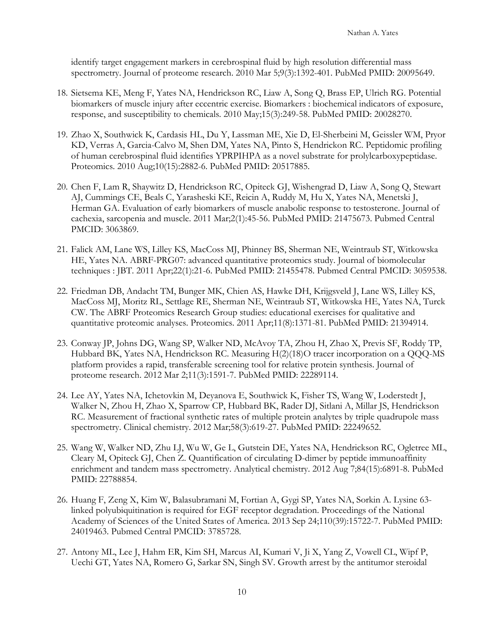identify target engagement markers in cerebrospinal fluid by high resolution differential mass spectrometry. Journal of proteome research. 2010 Mar 5;9(3):1392-401. PubMed PMID: 20095649.

- 18. Sietsema KE, Meng F, Yates NA, Hendrickson RC, Liaw A, Song Q, Brass EP, Ulrich RG. Potential biomarkers of muscle injury after eccentric exercise. Biomarkers : biochemical indicators of exposure, response, and susceptibility to chemicals. 2010 May;15(3):249-58. PubMed PMID: 20028270.
- 19. Zhao X, Southwick K, Cardasis HL, Du Y, Lassman ME, Xie D, El-Sherbeini M, Geissler WM, Pryor KD, Verras A, Garcia-Calvo M, Shen DM, Yates NA, Pinto S, Hendrickon RC. Peptidomic profiling of human cerebrospinal fluid identifies YPRPIHPA as a novel substrate for prolylcarboxypeptidase. Proteomics. 2010 Aug;10(15):2882-6. PubMed PMID: 20517885.
- 20. Chen F, Lam R, Shaywitz D, Hendrickson RC, Opiteck GJ, Wishengrad D, Liaw A, Song Q, Stewart AJ, Cummings CE, Beals C, Yarasheski KE, Reicin A, Ruddy M, Hu X, Yates NA, Menetski J, Herman GA. Evaluation of early biomarkers of muscle anabolic response to testosterone. Journal of cachexia, sarcopenia and muscle. 2011 Mar;2(1):45-56. PubMed PMID: 21475673. Pubmed Central PMCID: 3063869.
- 21. Falick AM, Lane WS, Lilley KS, MacCoss MJ, Phinney BS, Sherman NE, Weintraub ST, Witkowska HE, Yates NA. ABRF-PRG07: advanced quantitative proteomics study. Journal of biomolecular techniques : JBT. 2011 Apr;22(1):21-6. PubMed PMID: 21455478. Pubmed Central PMCID: 3059538.
- 22. Friedman DB, Andacht TM, Bunger MK, Chien AS, Hawke DH, Krijgsveld J, Lane WS, Lilley KS, MacCoss MJ, Moritz RL, Settlage RE, Sherman NE, Weintraub ST, Witkowska HE, Yates NA, Turck CW. The ABRF Proteomics Research Group studies: educational exercises for qualitative and quantitative proteomic analyses. Proteomics. 2011 Apr;11(8):1371-81. PubMed PMID: 21394914.
- 23. Conway JP, Johns DG, Wang SP, Walker ND, McAvoy TA, Zhou H, Zhao X, Previs SF, Roddy TP, Hubbard BK, Yates NA, Hendrickson RC. Measuring H(2)(18)O tracer incorporation on a QQQ-MS platform provides a rapid, transferable screening tool for relative protein synthesis. Journal of proteome research. 2012 Mar 2;11(3):1591-7. PubMed PMID: 22289114.
- 24. Lee AY, Yates NA, Ichetovkin M, Deyanova E, Southwick K, Fisher TS, Wang W, Loderstedt J, Walker N, Zhou H, Zhao X, Sparrow CP, Hubbard BK, Rader DJ, Sitlani A, Millar JS, Hendrickson RC. Measurement of fractional synthetic rates of multiple protein analytes by triple quadrupole mass spectrometry. Clinical chemistry. 2012 Mar;58(3):619-27. PubMed PMID: 22249652.
- 25. Wang W, Walker ND, Zhu LJ, Wu W, Ge L, Gutstein DE, Yates NA, Hendrickson RC, Ogletree ML, Cleary M, Opiteck GJ, Chen Z. Quantification of circulating D-dimer by peptide immunoaffinity enrichment and tandem mass spectrometry. Analytical chemistry. 2012 Aug 7;84(15):6891-8. PubMed PMID: 22788854.
- 26. Huang F, Zeng X, Kim W, Balasubramani M, Fortian A, Gygi SP, Yates NA, Sorkin A. Lysine 63 linked polyubiquitination is required for EGF receptor degradation. Proceedings of the National Academy of Sciences of the United States of America. 2013 Sep 24;110(39):15722-7. PubMed PMID: 24019463. Pubmed Central PMCID: 3785728.
- 27. Antony ML, Lee J, Hahm ER, Kim SH, Marcus AI, Kumari V, Ji X, Yang Z, Vowell CL, Wipf P, Uechi GT, Yates NA, Romero G, Sarkar SN, Singh SV. Growth arrest by the antitumor steroidal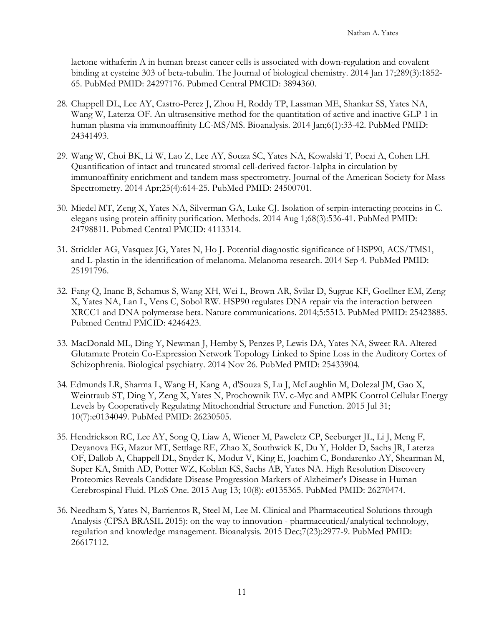lactone withaferin A in human breast cancer cells is associated with down-regulation and covalent binding at cysteine 303 of beta-tubulin. The Journal of biological chemistry. 2014 Jan 17;289(3):1852- 65. PubMed PMID: 24297176. Pubmed Central PMCID: 3894360.

- 28. Chappell DL, Lee AY, Castro-Perez J, Zhou H, Roddy TP, Lassman ME, Shankar SS, Yates NA, Wang W, Laterza OF. An ultrasensitive method for the quantitation of active and inactive GLP-1 in human plasma via immunoaffinity LC-MS/MS. Bioanalysis. 2014 Jan;6(1):33-42. PubMed PMID: 24341493.
- 29. Wang W, Choi BK, Li W, Lao Z, Lee AY, Souza SC, Yates NA, Kowalski T, Pocai A, Cohen LH. Quantification of intact and truncated stromal cell-derived factor-1alpha in circulation by immunoaffinity enrichment and tandem mass spectrometry. Journal of the American Society for Mass Spectrometry. 2014 Apr;25(4):614-25. PubMed PMID: 24500701.
- 30. Miedel MT, Zeng X, Yates NA, Silverman GA, Luke CJ. Isolation of serpin-interacting proteins in C. elegans using protein affinity purification. Methods. 2014 Aug 1;68(3):536-41. PubMed PMID: 24798811. Pubmed Central PMCID: 4113314.
- 31. Strickler AG, Vasquez JG, Yates N, Ho J. Potential diagnostic significance of HSP90, ACS/TMS1, and L-plastin in the identification of melanoma. Melanoma research. 2014 Sep 4. PubMed PMID: 25191796.
- 32. Fang Q, Inanc B, Schamus S, Wang XH, Wei L, Brown AR, Svilar D, Sugrue KF, Goellner EM, Zeng X, Yates NA, Lan L, Vens C, Sobol RW. HSP90 regulates DNA repair via the interaction between XRCC1 and DNA polymerase beta. Nature communications. 2014;5:5513. PubMed PMID: 25423885. Pubmed Central PMCID: 4246423.
- 33. MacDonald ML, Ding Y, Newman J, Hemby S, Penzes P, Lewis DA, Yates NA, Sweet RA. Altered Glutamate Protein Co-Expression Network Topology Linked to Spine Loss in the Auditory Cortex of Schizophrenia. Biological psychiatry. 2014 Nov 26. PubMed PMID: 25433904.
- 34. Edmunds LR, Sharma L, Wang H, Kang A, d'Souza S, Lu J, McLaughlin M, Dolezal JM, Gao X, Weintraub ST, Ding Y, Zeng X, Yates N, Prochownik EV. c-Myc and AMPK Control Cellular Energy Levels by Cooperatively Regulating Mitochondrial Structure and Function. 2015 Jul 31; 10(7):e0134049. PubMed PMID: 26230505.
- 35. Hendrickson RC, Lee AY, Song Q, Liaw A, Wiener M, Paweletz CP, Seeburger JL, Li J, Meng F, Deyanova EG, Mazur MT, Settlage RE, Zhao X, Southwick K, Du Y, Holder D, Sachs JR, Laterza OF, Dallob A, Chappell DL, Snyder K, Modur V, King E, Joachim C, Bondarenko AY, Shearman M, Soper KA, Smith AD, Potter WZ, Koblan KS, Sachs AB, Yates NA. High Resolution Discovery Proteomics Reveals Candidate Disease Progression Markers of Alzheimer's Disease in Human Cerebrospinal Fluid. PLoS One. 2015 Aug 13; 10(8): e0135365. PubMed PMID: 26270474.
- 36. Needham S, Yates N, Barrientos R, Steel M, Lee M. Clinical and Pharmaceutical Solutions through Analysis (CPSA BRASIL 2015): on the way to innovation - pharmaceutical/analytical technology, regulation and knowledge management. Bioanalysis. 2015 Dec;7(23):2977-9. PubMed PMID: 26617112.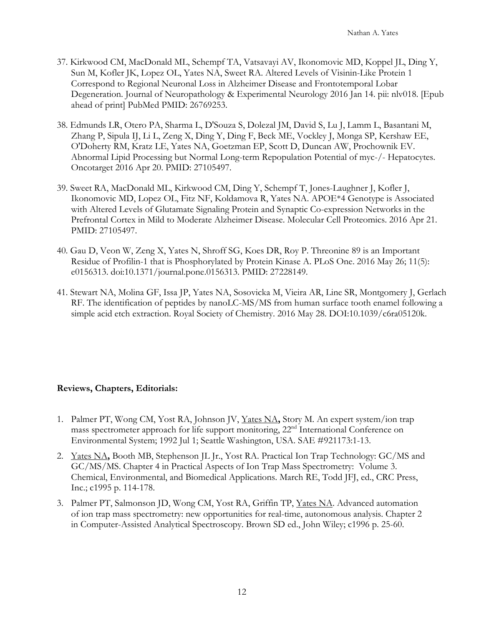- 37. Kirkwood CM, MacDonald ML, Schempf TA, Vatsavayi AV, Ikonomovic MD, Koppel JL, Ding Y, Sun M, Kofler JK, Lopez OL, Yates NA, Sweet RA. Altered Levels of Visinin-Like Protein 1 Correspond to Regional Neuronal Loss in Alzheimer Disease and Frontotemporal Lobar Degeneration. Journal of Neuropathology & Experimental Neurology 2016 Jan 14. pii: nlv018. [Epub ahead of print] PubMed PMID: 26769253.
- 38. Edmunds LR, Otero PA, Sharma L, D'Souza S, Dolezal JM, David S, Lu J, Lamm L, Basantani M, Zhang P, Sipula IJ, Li L, Zeng X, Ding Y, Ding F, Beck ME, Vockley J, Monga SP, Kershaw EE, O'Doherty RM, Kratz LE, Yates NA, Goetzman EP, Scott D, Duncan AW, Prochownik EV. Abnormal Lipid Processing but Normal Long-term Repopulation Potential of myc-/- Hepatocytes. Oncotarget 2016 Apr 20. PMID: 27105497.
- 39. Sweet RA, MacDonald ML, Kirkwood CM, Ding Y, Schempf T, Jones-Laughner J, Kofler J, Ikonomovic MD, Lopez OL, Fitz NF, Koldamova R, Yates NA. APOE\*4 Genotype is Associated with Altered Levels of Glutamate Signaling Protein and Synaptic Co-expression Networks in the Prefrontal Cortex in Mild to Moderate Alzheimer Disease. Molecular Cell Proteomics. 2016 Apr 21. PMID: 27105497.
- 40. Gau D, Veon W, Zeng X, Yates N, Shroff SG, Koes DR, Roy P. Threonine 89 is an Important Residue of Profilin-1 that is Phosphorylated by Protein Kinase A. PLoS One. 2016 May 26; 11(5): e0156313. doi:10.1371/journal.pone.0156313. PMID: 27228149.
- 41. Stewart NA, Molina GF, Issa JP, Yates NA, Sosovicka M, Vieira AR, Line SR, Montgomery J, Gerlach RF. The identification of peptides by nanoLC-MS/MS from human surface tooth enamel following a simple acid etch extraction. Royal Society of Chemistry. 2016 May 28. DOI:10.1039/c6ra05120k.

# **Reviews, Chapters, Editorials:**

- 1. Palmer PT, Wong CM, Yost RA, Johnson JV, Yates NA**,** Story M. An expert system/ion trap mass spectrometer approach for life support monitoring, 22<sup>nd</sup> International Conference on Environmental System; 1992 Jul 1; Seattle Washington, USA. SAE #921173:1-13.
- 2. Yates NA**,** Booth MB, Stephenson JL Jr., Yost RA. Practical Ion Trap Technology: GC/MS and GC/MS/MS. Chapter 4 in Practical Aspects of Ion Trap Mass Spectrometry: Volume 3. Chemical, Environmental, and Biomedical Applications. March RE, Todd JFJ, ed., CRC Press, Inc.; c1995 p. 114-178.
- 3. Palmer PT, Salmonson JD, Wong CM, Yost RA, Griffin TP, Yates NA. Advanced automation of ion trap mass spectrometry: new opportunities for real-time, autonomous analysis. Chapter 2 in Computer-Assisted Analytical Spectroscopy. Brown SD ed., John Wiley; c1996 p. 25-60.